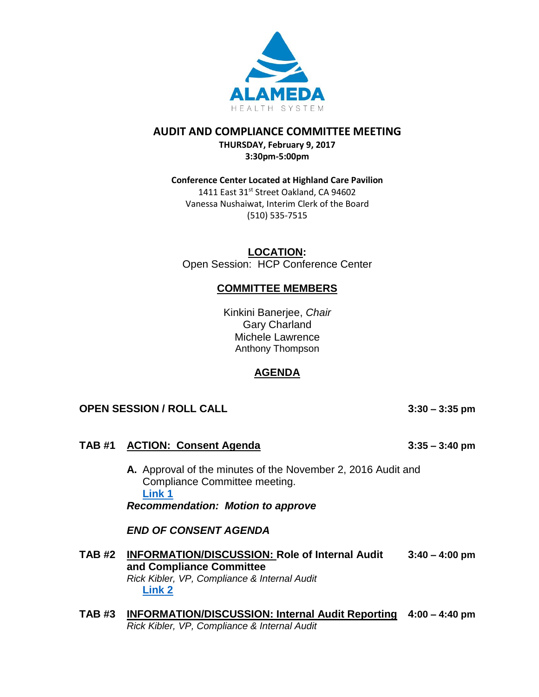

## **AUDIT AND COMPLIANCE COMMITTEE MEETING**

**THURSDAY, February 9, 2017 3:30pm-5:00pm**

#### **Conference Center Located at Highland Care Pavilion**

1411 East 31st Street Oakland, CA 94602 Vanessa Nushaiwat, Interim Clerk of the Board (510) 535-7515

**LOCATION:** Open Session: HCP Conference Center

# **COMMITTEE MEMBERS**

Kinkini Banerjee, *Chair* Gary Charland Michele Lawrence Anthony Thompson

# **AGENDA**

## **OPEN SESSION / ROLL CALL 3:30 – 3:35 pm**

## **TAB #1 ACTION: Consent Agenda 3:35 – 3:40 pm**

**A.** Approval of the minutes of the November 2, 2016 Audit and Compliance Committee meeting. **[Link 1](http://www.alamedahealthsystem.org/sites/default/files/agenda-2017-02-09/b/Link%201%20Audit%20and%20Compliance%20Committee%20Minutes%20-%20Draft%2011022016.pdf)** *Recommendation: Motion to approve* 

*END OF CONSENT AGENDA*

- **TAB #2 INFORMATION/DISCUSSION: Role of Internal Audit 3:40 – 4:00 pm and Compliance Committee** *Rick Kibler, VP, Compliance & Internal Audit* **[Link 2](http://www.alamedahealthsystem.org/sites/default/files/agenda-2017-02-09/b/Link%202%20Tab%202A.%20Audit%20and%20Compliance%20Committee%20Role.pdf)**
- **TAB #3 INFORMATION/DISCUSSION: Internal Audit Reporting 4:00 – 4:40 pm** *Rick Kibler, VP, Compliance & Internal Audit*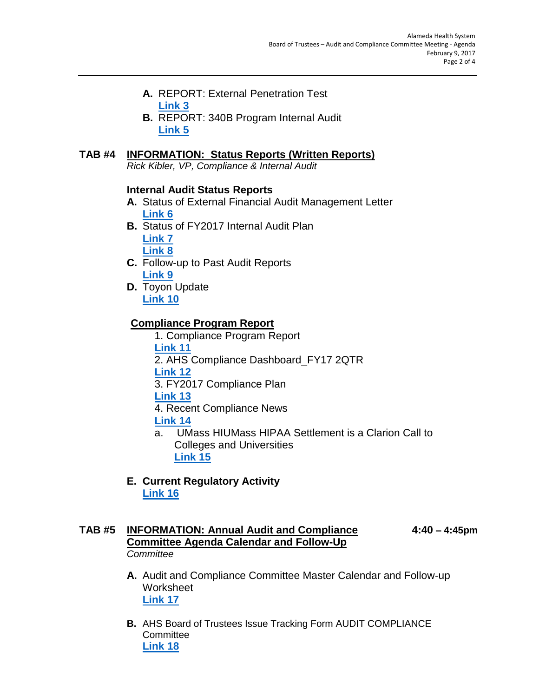- **A.** REPORT: External Penetration Test **[Link 3](http://www.alamedahealthsystem.org/sites/default/files/agenda-2017-02-09/b/Link%203%20Tab%203A1.%20Penetration%20Review.pdf)**
- **B.** REPORT: 340B Program Internal Audit **[Link 5](http://www.alamedahealthsystem.org/sites/default/files/agenda-2017-02-09/b/Link%205%20Tab%203B.%20340B%20Program%20Internal%20Audit%20-%20Final%20Report.pdf)**

# **TAB #4 INFORMATION: Status Reports (Written Reports)**

*Rick Kibler, VP, Compliance & Internal Audit*

### **Internal Audit Status Reports**

- **A.** Status of External Financial Audit Management Letter **[Link 6](http://www.alamedahealthsystem.org/sites/default/files/agenda-2017-02-09/b/Link%206%20Tab%204A.%20%20Management%20Letter%20Findings%20Status.pdf)**
- **B.** Status of FY2017 Internal Audit Plan **[Link 7](http://www.alamedahealthsystem.org/sites/default/files/agenda-2017-02-09/b/Link%207%20Tab%204B1.%20Status%20of%20FY2017%20Internal%20Audit%20Plan.pdf)**

**[Link 8](http://www.alamedahealthsystem.org/sites/default/files/agenda-2017-02-09/b/Link%208%20Tab%204B2.%20FY2017%20Internal%20Audit%20%20Plan.pdf)**

- **C.** Follow-up to Past Audit Reports **[Link 9](http://www.alamedahealthsystem.org/sites/default/files/agenda-2017-02-09/b/Link%209%20Tab%204C.%20%20Follow-Up%20to%20Past%20Audit%20Reports.pdf)**
- **D.** Toyon Update **[Link 10](http://www.alamedahealthsystem.org/sites/default/files/agenda-2017-02-09/b/Link%2010%20Tab%204D1.%20Status%20of%20Toyon%20Report.pdf)**

# **Compliance Program Report**

- 1. Compliance Program Report **[Link 11](http://www.alamedahealthsystem.org/sites/default/files/agenda-2017-02-09/b/Link%2011%20Tab%204D2.%20TOYON%20Update.pdf)** 2. AHS Compliance Dashboard\_FY17 2QTR **[Link 12](http://www.alamedahealthsystem.org/sites/default/files/agenda-2017-02-09/b/Link%2012%20Tab%204E1.%20Compliance%20Program%20Report.pdf)** 3. FY2017 Compliance Plan **[Link 13](http://www.alamedahealthsystem.org/sites/default/files/agenda-2017-02-09/b/Link%2013%20Tab%204E2.%20AHS%20Compliance%20Dashboard_FY17%202QTR.pdf)** 4. Recent Compliance News **[Link 14](http://www.alamedahealthsystem.org/sites/default/files/agenda-2017-02-09/b/Link%2014%20Tab%204E4.%20Recent%20Compliance%20News.pdf)**
- a. UMass HIUMass HIPAA Settlement is a Clarion Call to Colleges and Universities **[Link 15](http://www.alamedahealthsystem.org/sites/default/files/agenda-2017-02-09/b/Link%2015%20Tab%204E4a.%20UMass%20HIUMass%20HIPAA%20Settlement%20is%20a%20Clarion%20Call%20to%20Colleges%20and%20Universities.pdf)**
- **E. Current Regulatory Activity [Link 16](http://www.alamedahealthsystem.org/sites/default/files/agenda-2017-02-09/b/Link%2016%20Tab%204F.%20Current%20Regulatory%20Activity.pdf)**

# **TAB #5 INFORMATION: Annual Audit and Compliance 4:40 – 4:45pm Committee Agenda Calendar and Follow-Up** *Committee*

- **A.** Audit and Compliance Committee Master Calendar and Follow-up Worksheet **[Link 17](http://www.alamedahealthsystem.org/sites/default/files/agenda-2017-02-09/b/Link%2017%20Tab%205A1.%20-%20Audit%20Committee%20Annual%20Calendar%202016.pdf)**
- **B.** AHS Board of Trustees Issue Tracking Form AUDIT COMPLIANCE **Committee [Link 18](http://www.alamedahealthsystem.org/sites/default/files/agenda-2017-02-09/b/Link%2018%20Tab%205A2%20AHS%20Board%20of%20Trustees%20Issue%20Tracking%20Form%20AUDIT%20COMPLIANCE%20Committee.pdf)**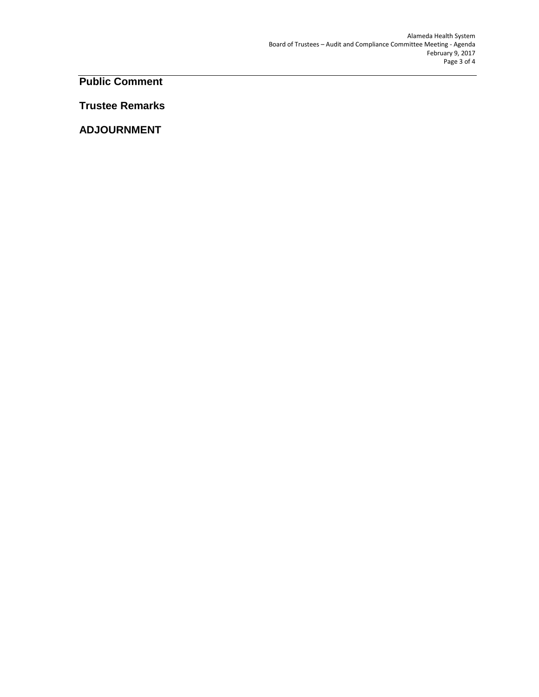**Public Comment**

**Trustee Remarks**

**ADJOURNMENT**